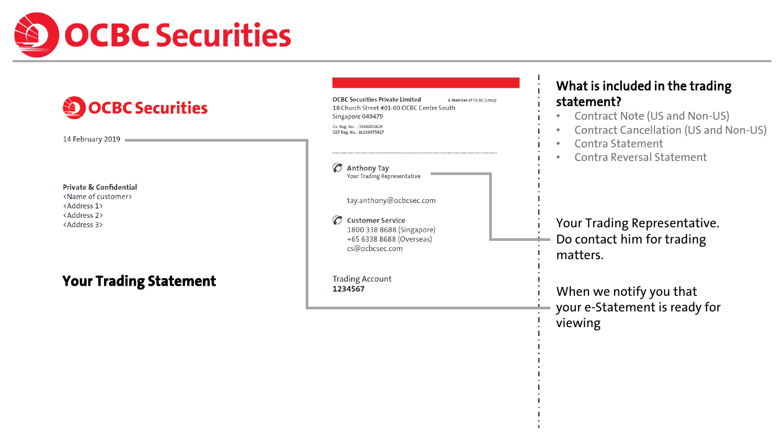

| <b>OCBC Securities</b><br>14 February 2019                                                                                                                  | <b>OCBC Securities Private Limited</b><br>A Member of OCBC Group<br>18 Church Street #01-00 OCBC Centre South<br>Singapore 049479<br>Co. Reg. No. : 196600262R<br>GST Reg. No.: M200075927            | What is included in the trading<br>statement?<br><b>Contract Note (US and Non-US)</b><br><b>Contract Cancellation (US and Non-US)</b><br>Contra Statement<br>$\bullet$ |
|-------------------------------------------------------------------------------------------------------------------------------------------------------------|-------------------------------------------------------------------------------------------------------------------------------------------------------------------------------------------------------|------------------------------------------------------------------------------------------------------------------------------------------------------------------------|
| <b>Private &amp; Confidential</b><br><name customer="" of=""><br/><address 1=""><br/><address 2=""><br/><address 3=""></address></address></address></name> | $\sigma$<br><b>Anthony Tay</b><br><b>Your Trading Representative</b><br>tay.anthony@ocbcsec.com<br><b>Customer Service</b><br>1800 338 8688 (Singapore)<br>+65 6338 8688 (Overseas)<br>cs@ocbcsec.com | <b>Contra Reversal Statement</b><br>$\bullet$<br>Your Trading Representative.<br>Do contact him for trading<br>matters.                                                |
| <b>Your Trading Statement</b>                                                                                                                               | <b>Trading Account</b><br>1234567                                                                                                                                                                     | When we notify you that<br>your e-Statement is ready for<br>viewing                                                                                                    |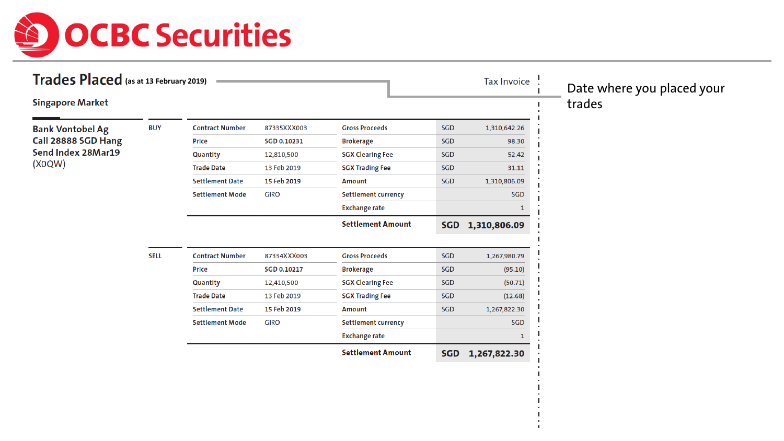

| Trades Placed (as at 13 February 2019) |             |                        |             |                            |            | <b>Tax Invoice</b> | Date where you placed your |
|----------------------------------------|-------------|------------------------|-------------|----------------------------|------------|--------------------|----------------------------|
| <b>Singapore Market</b>                |             |                        |             |                            |            |                    | trades                     |
| <b>Bank Vontobel Ag</b>                | <b>BUY</b>  | <b>Contract Number</b> | 87335XXX003 | <b>Gross Proceeds</b>      | SGD        | 1,310,642.26       |                            |
| Call 28888 SGD Hang                    |             | Price                  | SGD 0.10231 | <b>Brokerage</b>           | <b>SGD</b> | 98.30              |                            |
| Send Index 28Mar19                     |             | Quantity               | 12,810,500  | <b>SGX Clearing Fee</b>    | SGD        | 52.42              |                            |
| (X0QW)                                 |             | <b>Trade Date</b>      | 13 Feb 2019 | <b>SGX Trading Fee</b>     | SGD        | 31.11              |                            |
|                                        |             | <b>Settlement Date</b> | 15 Feb 2019 | <b>Amount</b>              | SGD        | 1,310,806.09       |                            |
|                                        |             | <b>Settlement Mode</b> | <b>GIRO</b> | <b>Settlement currency</b> |            | <b>SGD</b>         |                            |
|                                        |             |                        |             | <b>Exchange rate</b>       |            |                    |                            |
|                                        |             |                        |             | <b>Settlement Amount</b>   | <b>SGD</b> | 1,310,806.09       |                            |
|                                        |             |                        |             |                            |            |                    |                            |
|                                        | <b>SELL</b> | <b>Contract Number</b> | 87334XXX003 | <b>Gross Proceeds</b>      | SGD        | 1,267,980.79       |                            |
|                                        |             | Price                  | SGD 0.10217 | <b>Brokerage</b>           | SGD        | (95.10)            |                            |
|                                        |             | Quantity               | 12,410,500  | <b>SGX Clearing Fee</b>    | <b>SGD</b> | (50.71)            |                            |
|                                        |             | <b>Trade Date</b>      | 13 Feb 2019 | <b>SGX Trading Fee</b>     | SGD        | (12.68)            |                            |
|                                        |             | <b>Settlement Date</b> | 15 Feb 2019 | <b>Amount</b>              | SGD        | 1,267,822.30       |                            |
|                                        |             | <b>Settlement Mode</b> | <b>GIRO</b> | <b>Settlement currency</b> |            | SGD                |                            |
|                                        |             |                        |             | <b>Exchange rate</b>       |            |                    |                            |
|                                        |             |                        |             | <b>Settlement Amount</b>   | <b>SGD</b> | 1,267,822.30       |                            |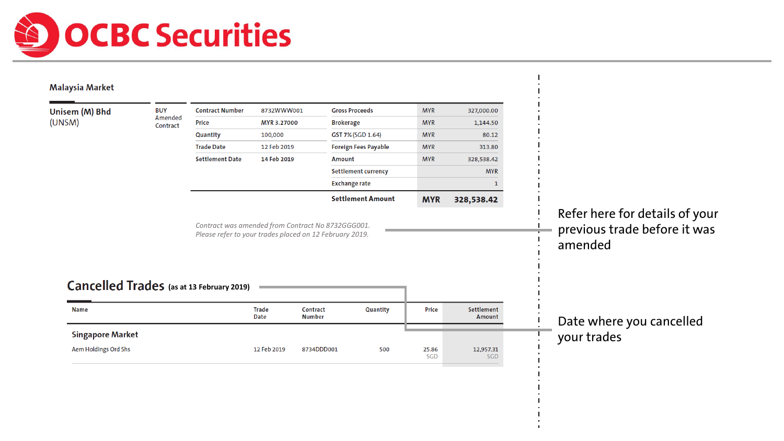

| Unisem (M) Bhd                                                              | <b>BUY</b><br>Amended | <b>Contract Number</b>                                                                                       | 8732WWW001                  |                           | <b>Gross Proceeds</b>       | <b>MYR</b>   | 327,000.00           |                                                                |  |
|-----------------------------------------------------------------------------|-----------------------|--------------------------------------------------------------------------------------------------------------|-----------------------------|---------------------------|-----------------------------|--------------|----------------------|----------------------------------------------------------------|--|
| (UNSM)                                                                      | Contract              | <b>Price</b>                                                                                                 | MYR 3.27000                 | <b>Brokerage</b>          |                             | <b>MYR</b>   | 1,144.50             |                                                                |  |
|                                                                             |                       | Quantity                                                                                                     | 100,000                     |                           | GST 7% (SGD 1.64)           | <b>MYR</b>   | 80.12                |                                                                |  |
|                                                                             |                       | <b>Trade Date</b>                                                                                            | 12 Feb 2019                 |                           | <b>Foreign Fees Payable</b> | <b>MYR</b>   | 313.80               |                                                                |  |
|                                                                             |                       | <b>Settlement Date</b>                                                                                       | 14 Feb 2019                 | Amount                    |                             | <b>MYR</b>   | 328,538.42           |                                                                |  |
|                                                                             |                       |                                                                                                              |                             |                           | <b>Settlement currency</b>  |              | <b>MYR</b>           |                                                                |  |
|                                                                             |                       |                                                                                                              |                             |                           | <b>Exchange rate</b>        |              |                      |                                                                |  |
|                                                                             |                       |                                                                                                              |                             |                           |                             |              |                      |                                                                |  |
|                                                                             |                       | Contract was amended from Contract No 8732GGG001.<br>Please refer to your trades placed on 12 February 2019. |                             |                           | <b>Settlement Amount</b>    | <b>MYR</b>   | 328,538.42           | Refer here for details of your<br>previous trade before it was |  |
|                                                                             |                       |                                                                                                              |                             |                           |                             |              |                      | amended                                                        |  |
|                                                                             |                       |                                                                                                              |                             |                           |                             |              |                      |                                                                |  |
|                                                                             |                       |                                                                                                              |                             |                           |                             |              |                      |                                                                |  |
| <b>Name</b>                                                                 |                       |                                                                                                              | <b>Trade</b><br><b>Date</b> | Contract<br><b>Number</b> | Quantity                    | <b>Price</b> | Settlement<br>Amount |                                                                |  |
| <b>Cancelled Trades</b> (as at 13 February 2019)<br><b>Singapore Market</b> |                       |                                                                                                              |                             |                           |                             |              |                      | Date where you cancelled<br>your trades                        |  |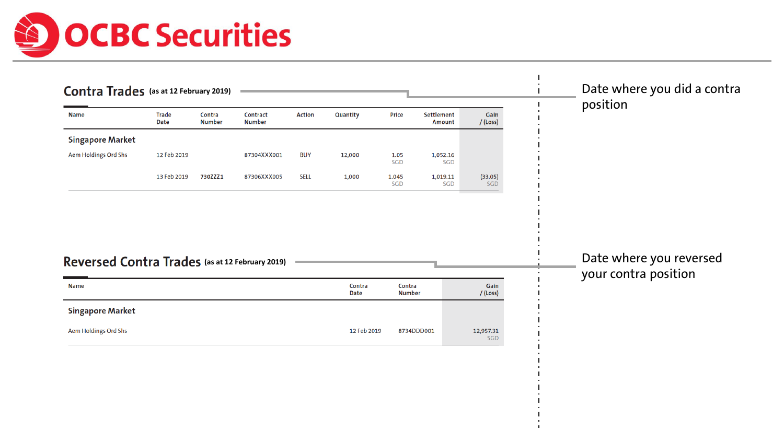

| Contra Trades (as at 12 February 2019)          |                             |                         |                           |               |                       |                         |                             |                    | Date where you did a contra                     |
|-------------------------------------------------|-----------------------------|-------------------------|---------------------------|---------------|-----------------------|-------------------------|-----------------------------|--------------------|-------------------------------------------------|
| <b>Name</b>                                     | <b>Trade</b><br><b>Date</b> | Contra<br><b>Number</b> | Contract<br><b>Number</b> | <b>Action</b> | Quantity              | Price                   | Settlement<br><b>Amount</b> | Gain<br>/(Loss)    | position                                        |
| <b>Singapore Market</b>                         |                             |                         |                           |               |                       |                         |                             |                    |                                                 |
| Aem Holdings Ord Shs                            | 12 Feb 2019                 |                         | 87304XXX001               | <b>BUY</b>    | 12,000                | 1.05<br>SGD             | 1,052.16<br>SGD             |                    |                                                 |
|                                                 | 13 Feb 2019                 | 730ZZZ1                 | 87306XXX005               | <b>SELL</b>   | 1,000                 | 1.045<br>SGD            | 1,019.11<br>SGD             | (33.05)<br>SGD     |                                                 |
| Reversed Contra Trades (as at 12 February 2019) |                             |                         |                           |               |                       |                         |                             |                    | Date where you reversed<br>your contra position |
| <b>Name</b>                                     |                             |                         |                           |               | Contra<br><b>Date</b> | Contra<br><b>Number</b> |                             | Gain<br>$/$ (Loss) |                                                 |
| <b>Singapore Market</b>                         |                             |                         |                           |               |                       |                         |                             |                    |                                                 |
| Aem Holdings Ord Shs                            |                             |                         |                           |               | 12 Feb 2019           | 8734DDD001              |                             | 12,957.31<br>SGD   |                                                 |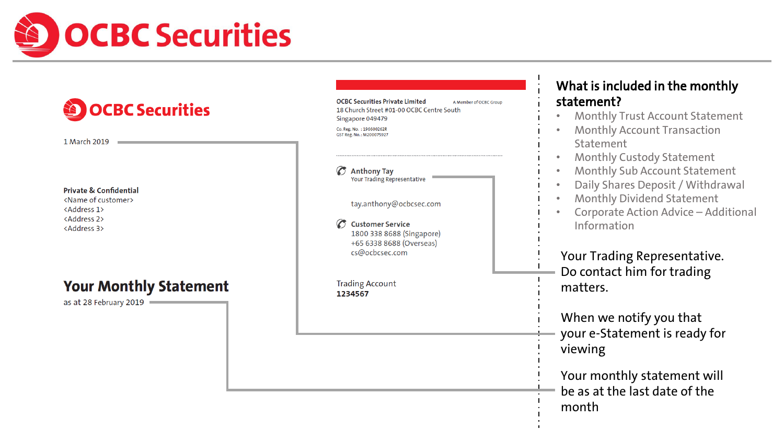

| <b>OCBC Securities</b><br>1 March 2019                                                                                                                      | <b>OCBC Securities Private Limited</b><br>A Member of OCBC Group<br>18 Church Street #01-00 OCBC Centre South<br>Singapore 049479<br>Co. Reg. No. : 196600262R<br>GST Reg. No.: M200075927                                      | What is included in the monthly<br>statement?<br><b>Monthly Trust Account Statement</b><br><b>Monthly Account Transaction</b><br>$\bullet$<br>Statement                                                                                                                                                        |
|-------------------------------------------------------------------------------------------------------------------------------------------------------------|---------------------------------------------------------------------------------------------------------------------------------------------------------------------------------------------------------------------------------|----------------------------------------------------------------------------------------------------------------------------------------------------------------------------------------------------------------------------------------------------------------------------------------------------------------|
| <b>Private &amp; Confidential</b><br><name customer="" of=""><br/><address 1=""><br/><address 2=""><br/><address 3=""></address></address></address></name> | $\sigma$<br><b>Anthony Tay</b><br><b>Your Trading Representative</b><br>tay.anthony@ocbcsec.com<br><b>Customer Service</b><br>1800 338 8688 (Singapore)<br>+65 6338 8688 (Overseas)<br>cs@ocbcsec.com<br><b>Trading Account</b> | <b>Monthly Custody Statement</b><br>$\bullet$<br><b>Monthly Sub Account Statement</b><br>$\bullet$<br>Daily Shares Deposit / Withdrawal<br>$\bullet$<br><b>Monthly Dividend Statement</b><br>Corporate Action Advice - Additional<br>Information<br>Your Trading Representative.<br>Do contact him for trading |
| <b>Your Monthly Statement</b><br>as at 28 February 2019                                                                                                     | 1234567                                                                                                                                                                                                                         | matters.<br>When we notify you that<br>your e-Statement is ready for<br>viewing<br>Your monthly statement will<br>be as at the last date of the<br>month                                                                                                                                                       |

 $\blacksquare$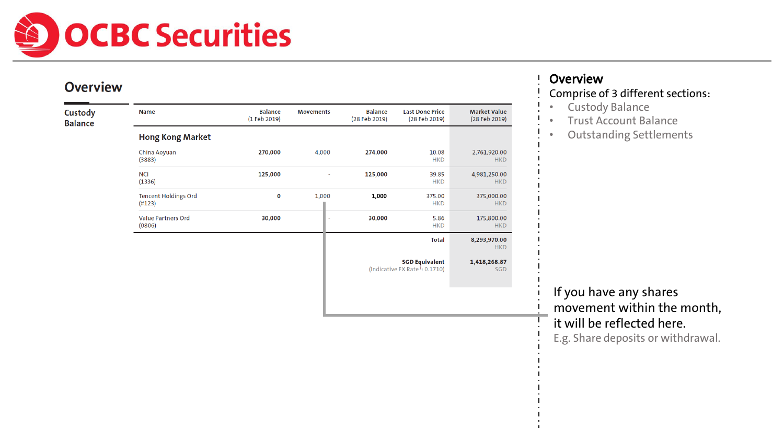

#### **Overview**

| Custody<br><b>Balance</b> | <b>Name</b>                           | <b>Balance</b><br>(1 Feb 2019) | Movements | <b>Balance</b><br>(28 Feb 2019) | <b>Last Done Price</b><br>(28 Feb 2019)                             | <b>Market Value</b><br>(28 Feb 2019) |
|---------------------------|---------------------------------------|--------------------------------|-----------|---------------------------------|---------------------------------------------------------------------|--------------------------------------|
|                           | <b>Hong Kong Market</b>               |                                |           |                                 |                                                                     |                                      |
|                           | China Aoyuan<br>(3883)                | 270,000                        | 4,000     | 274,000                         | 10.08<br><b>HKD</b>                                                 | 2,761,920.00<br><b>HKD</b>           |
|                           | <b>NCI</b><br>(1336)                  | 125,000                        |           | 125,000                         | 39.85<br><b>HKD</b>                                                 | 4,981,250.00<br><b>HKD</b>           |
|                           | <b>Tencent Holdings Ord</b><br>(H123) | 0                              | 1,000     | 1,000                           | 375.00<br><b>HKD</b>                                                | 375,000.00<br><b>HKD</b>             |
|                           | <b>Value Partners Ord</b><br>(0806)   | 30,000                         |           | 30,000                          | 5.86<br><b>HKD</b>                                                  | 175,800.00<br><b>HKD</b>             |
|                           |                                       |                                |           |                                 | <b>Total</b>                                                        | 8,293,970.00<br><b>HKD</b>           |
|                           |                                       |                                |           |                                 | <b>SGD Equivalent</b><br>(Indicative FX Rate <sup>1</sup> : 0.1710) | 1,418,268.87<br>SGD                  |
|                           |                                       |                                |           |                                 |                                                                     |                                      |

## **Overview**

#### Comprise of 3 different sections:

- Custody Balance
- Trust Account Balance
- Outstanding Settlements

If you have any shares movement within the month, it will be reflected here.

E.g. Share deposits or withdrawal.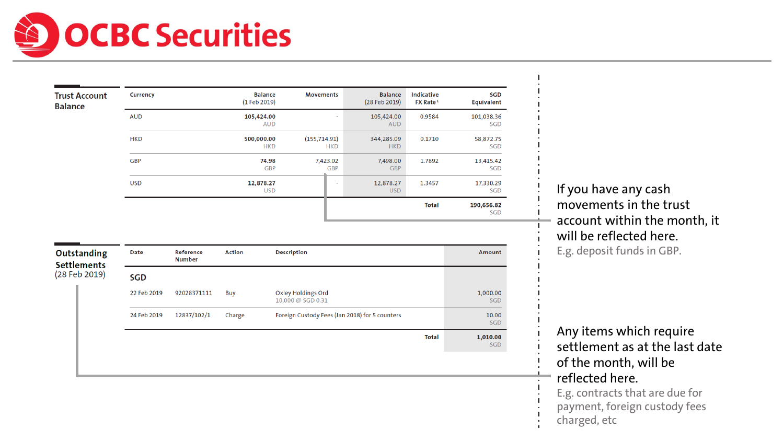# OCBC Securities

| <b>Trust Account</b><br><b>Balance</b> | <b>Currency</b> | <b>Balance</b><br>(1 Feb 2019) | <b>Movements</b>            | <b>Balance</b><br>(28 Feb 2019)                      | <b>Indicative</b><br>FX Rate <sup>1</sup> | SGD<br><b>Equivalent</b> |
|----------------------------------------|-----------------|--------------------------------|-----------------------------|------------------------------------------------------|-------------------------------------------|--------------------------|
|                                        | <b>AUD</b>      | 105,424.00<br><b>AUD</b>       |                             | 105,424.00<br>$\overline{\phantom{a}}$<br><b>AUD</b> | 0.9584                                    | 101,038.36<br>SGD        |
|                                        | <b>HKD</b>      | 500,000.00<br><b>HKD</b>       | (155, 714.91)<br><b>HKD</b> | 344,285.09<br><b>HKD</b>                             | 0.1710                                    | 58,872.75<br><b>SGD</b>  |
|                                        | <b>GBP</b>      | 74.98<br><b>GBP</b>            | 7,423.02<br><b>GBP</b>      | 7,498.00<br><b>GBP</b>                               | 1.7892                                    | 13,415.42<br>SGD         |
|                                        | <b>USD</b>      | 12,878.27<br><b>USD</b>        | $\blacksquare$              | 12,878.27<br><b>USD</b>                              | 1.3457                                    | 17,330.29<br>SGD         |
|                                        |                 |                                |                             |                                                      | <b>Total</b>                              | 190,656.82<br>SGD        |

| <b>Date</b> | Reference<br><b>Number</b> | <b>Action</b> | <b>Description</b>                             |              | Amount          |
|-------------|----------------------------|---------------|------------------------------------------------|--------------|-----------------|
| <b>SGD</b>  |                            |               |                                                |              |                 |
| 22 Feb 2019 | 92028371111                | Buy           | Oxley Holdings Ord<br>10,000 @ SGD 0.31        |              | 1,000.00<br>SGD |
| 24 Feb 2019 | 12837/102/1                | Charge        | Foreign Custody Fees (Jan 2018) for 5 counters |              | 10.00<br>SGD    |
|             |                            |               |                                                | <b>Total</b> | 1,010.00<br>SGD |
|             |                            |               |                                                |              |                 |

If you have any cash movements in the trust account within the month, it will be reflected here. E.g. deposit funds in GBP.

Any items which require settlement as at the last date of the month, will be reflected here. E.g. contracts that are due for

- payment, foreign custody fees
- charged, etc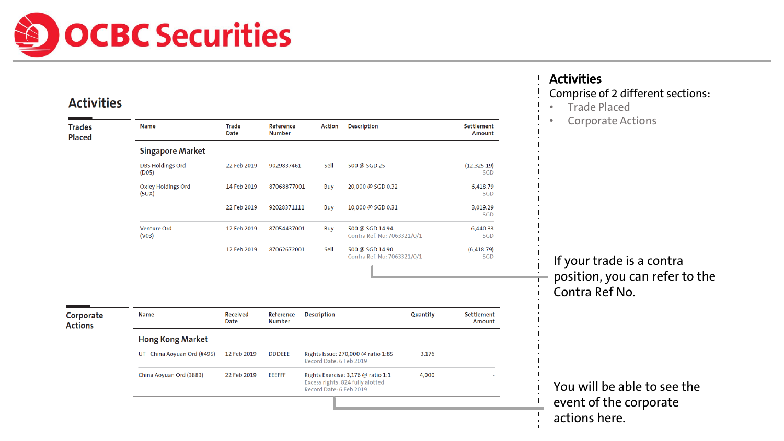

#### **Activities**

| <b>Trades</b><br><b>Placed</b> | <b>Name</b>                        | <b>Trade</b><br>Date    | Reference<br><b>Number</b> | <b>Action</b>           | <b>Description</b>                                                     |          | <b>Settlement</b><br>Amount        |
|--------------------------------|------------------------------------|-------------------------|----------------------------|-------------------------|------------------------------------------------------------------------|----------|------------------------------------|
|                                | <b>Singapore Market</b>            |                         |                            |                         |                                                                        |          |                                    |
|                                | <b>DBS Holdings Ord</b><br>(D05)   | 22 Feb 2019             | 9029837461                 | Sell                    | 500 @ SGD 25                                                           |          | (12, 325.19)<br><b>SGD</b>         |
|                                | <b>Oxley Holdings Ord</b><br>(5UX) | 14 Feb 2019             | 87068877001                | Buy                     | 20,000 @ SGD 0.32                                                      |          | 6,418.79<br><b>SGD</b>             |
|                                |                                    | 22 Feb 2019             | 92028371111                | Buy                     | 10,000 @ SGD 0.31                                                      |          | 3,019.29<br>SGD                    |
|                                | <b>Venture Ord</b><br>(VO3)        | 12 Feb 2019             | 87054437001                | Buy                     | 500 @ SGD 14.94<br>Contra Ref. No: 7063321/0/1                         |          | 6,440.33<br><b>SGD</b>             |
|                                |                                    | 12 Feb 2019             | 87062672001                | Sell                    | 500 @ SGD 14.90<br>Contra Ref. No: 7063321/0/1                         |          | (6,418.79)<br>SGD                  |
|                                |                                    |                         |                            |                         |                                                                        |          |                                    |
|                                |                                    |                         |                            |                         |                                                                        |          |                                    |
|                                |                                    |                         |                            |                         |                                                                        |          |                                    |
|                                | <b>Name</b>                        | <b>Received</b><br>Date | Reference<br><b>Number</b> | <b>Description</b>      |                                                                        | Quantity | <b>Settlement</b><br><b>Amount</b> |
|                                | <b>Hong Kong Market</b>            |                         |                            |                         |                                                                        |          |                                    |
|                                | UT - China Aoyuan Ord (#495)       | 12 Feb 2019             | <b>DDDEEE</b>              | Record Date: 6 Feb 2019 | Rights Issue: 270,000 @ ratio 1:85                                     | 3,176    |                                    |
| Corporate<br><b>Actions</b>    | China Aoyuan Ord (3883)            | 22 Feb 2019             | <b>EEEFFF</b>              | Record Date: 6 Feb 2019 | Rights Exercise: 3,176 @ ratio 1:1<br>Excess rights: 824 fully alotted | 4,000    |                                    |

#### **Activities**

### Comprise of 2 different sections:

- Trade Placed
- Corporate Actions

If your trade is a contra position, you can refer to the Contra Ref No.

You will be able to see the event of the corporate actions here.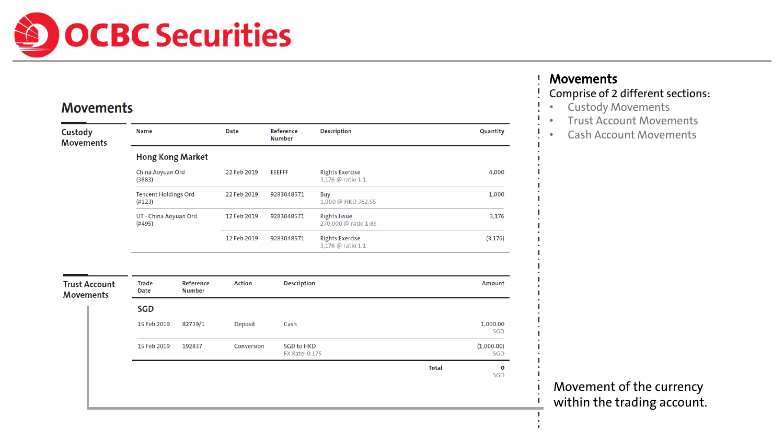

#### **Movements**

| Custody<br><b>Movements</b>              | <b>Name</b>                           |                            | <b>Date</b>   | Reference<br><b>Number</b>                 | <b>Description</b>                          |              | Quantity               |
|------------------------------------------|---------------------------------------|----------------------------|---------------|--------------------------------------------|---------------------------------------------|--------------|------------------------|
|                                          | <b>Hong Kong Market</b>               |                            |               |                                            |                                             |              |                        |
|                                          | China Aoyuan Ord<br>(3883)            |                            | 22 Feb 2019   | <b>EEEFFF</b>                              | <b>Rights Exercise</b><br>3,176 @ ratio 1:1 |              | 4,000                  |
|                                          | <b>Tencent Holdings Ord</b><br>(H123) |                            | 22 Feb 2019   | 9283048571                                 | Buy<br>1,000 @ HKD 362.55                   |              | 1,000                  |
|                                          | UT - China Aoyuan Ord<br>(#495)       |                            | 12 Feb 2019   | 9283048571                                 | <b>Rights Issue</b><br>270,000 @ ratio 1:85 |              | 3,176                  |
|                                          |                                       |                            | 12 Feb 2019   | 9283048571                                 | <b>Rights Exercise</b><br>3,176 @ ratio 1:1 |              | (3, 176)               |
|                                          |                                       |                            |               |                                            |                                             |              |                        |
| <b>Trust Account</b><br><b>Movements</b> | <b>Trade</b><br><b>Date</b>           | Reference<br><b>Number</b> | <b>Action</b> | <b>Description</b>                         |                                             |              | <b>Amount</b>          |
|                                          | <b>SGD</b>                            |                            |               |                                            |                                             |              |                        |
|                                          | 15 Feb 2019                           | 82739/1                    | Deposit       | Cash                                       |                                             |              | 1,000.00<br><b>SGD</b> |
|                                          | 15 Feb 2019                           | 192837                     | Conversion    | <b>SGD to HKD</b><br><b>FX Rate: 0.175</b> |                                             |              | (1,000.00)<br>SGD      |
|                                          |                                       |                            |               |                                            |                                             | <b>Total</b> | 0<br>SGD               |
|                                          |                                       |                            |               |                                            |                                             |              |                        |
|                                          |                                       |                            |               |                                            |                                             |              |                        |

#### Movements

## Comprise of 2 different sections:

- Custody Movements
- Trust Account Movements
- Cash Account Movements

Movement of the currency within the trading account.